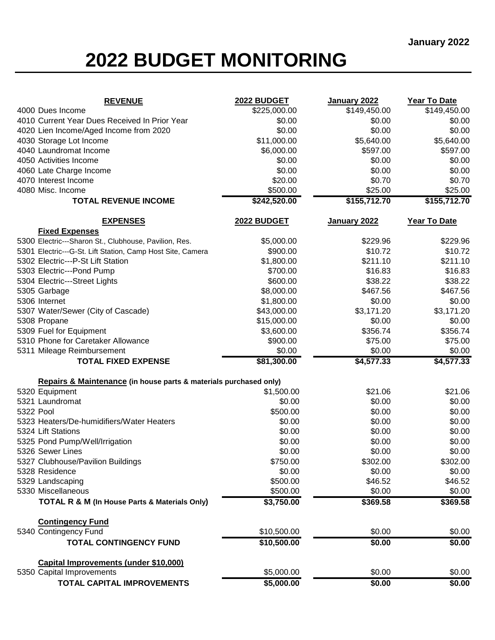## **2022 BUDGET MONITORING**

| <b>REVENUE</b>                                                    | 2022 BUDGET        | January 2022 | Year To Date |
|-------------------------------------------------------------------|--------------------|--------------|--------------|
| 4000 Dues Income                                                  | \$225,000.00       | \$149,450.00 | \$149,450.00 |
| 4010 Current Year Dues Received In Prior Year                     | \$0.00             | \$0.00       | \$0.00       |
| 4020 Lien Income/Aged Income from 2020                            | \$0.00             | \$0.00       | \$0.00       |
| 4030 Storage Lot Income                                           | \$11,000.00        | \$5,640.00   | \$5,640.00   |
| 4040 Laundromat Income                                            | \$6,000.00         | \$597.00     | \$597.00     |
| 4050 Activities Income                                            | \$0.00             | \$0.00       | \$0.00       |
| 4060 Late Charge Income                                           | \$0.00             | \$0.00       | \$0.00       |
| 4070 Interest Income                                              | \$20.00            | \$0.70       | \$0.70       |
| 4080 Misc. Income                                                 | \$500.00           | \$25.00      | \$25.00      |
| <b>TOTAL REVENUE INCOME</b>                                       | \$242,520.00       | \$155,712.70 | \$155,712.70 |
| <b>EXPENSES</b>                                                   | <b>2022 BUDGET</b> | January 2022 | Year To Date |
| <b>Fixed Expenses</b>                                             |                    |              |              |
| 5300 Electric---Sharon St., Clubhouse, Pavilion, Res.             | \$5,000.00         | \$229.96     | \$229.96     |
| 5301 Electric---G-St. Lift Station, Camp Host Site, Camera        | \$900.00           | \$10.72      | \$10.72      |
| 5302 Electric---P-St Lift Station                                 | \$1,800.00         | \$211.10     | \$211.10     |
| 5303 Electric---Pond Pump                                         | \$700.00           | \$16.83      | \$16.83      |
| 5304 Electric---Street Lights                                     | \$600.00           | \$38.22      | \$38.22      |
| 5305 Garbage                                                      | \$8,000.00         | \$467.56     | \$467.56     |
| 5306 Internet                                                     | \$1,800.00         | \$0.00       | \$0.00       |
| 5307 Water/Sewer (City of Cascade)                                | \$43,000.00        | \$3,171.20   | \$3,171.20   |
| 5308 Propane                                                      | \$15,000.00        | \$0.00       | \$0.00       |
| 5309 Fuel for Equipment                                           | \$3,600.00         | \$356.74     | \$356.74     |
| 5310 Phone for Caretaker Allowance                                | \$900.00           | \$75.00      | \$75.00      |
| 5311 Mileage Reimbursement                                        | \$0.00             | \$0.00       | \$0.00       |
| <b>TOTAL FIXED EXPENSE</b>                                        | \$81,300.00        | \$4,577.33   | \$4,577.33   |
| Repairs & Maintenance (in house parts & materials purchased only) |                    |              |              |
| 5320 Equipment                                                    | \$1,500.00         | \$21.06      | \$21.06      |
| 5321 Laundromat                                                   | \$0.00             | \$0.00       | \$0.00       |
| 5322 Pool                                                         | \$500.00           | \$0.00       | \$0.00       |
| 5323 Heaters/De-humidifiers/Water Heaters                         | \$0.00             | \$0.00       | \$0.00       |
| 5324 Lift Stations                                                | \$0.00             | \$0.00       | \$0.00       |
| 5325 Pond Pump/Well/Irrigation                                    | \$0.00             | \$0.00       | \$0.00       |
| 5326 Sewer Lines                                                  | \$0.00             | \$0.00       | \$0.00       |
| 5327 Clubhouse/Pavilion Buildings                                 | \$750.00           | \$302.00     | \$302.00     |
| 5328 Residence                                                    | \$0.00             | \$0.00       | \$0.00       |
| 5329 Landscaping                                                  | \$500.00           | \$46.52      | \$46.52      |
| 5330 Miscellaneous                                                | \$500.00           | \$0.00       | \$0.00       |
| <b>TOTAL R &amp; M (In House Parts &amp; Materials Only)</b>      | \$3,750.00         | \$369.58     | \$369.58     |
| <b>Contingency Fund</b>                                           |                    |              |              |
| 5340 Contingency Fund                                             | \$10,500.00        | \$0.00       | \$0.00       |
| <b>TOTAL CONTINGENCY FUND</b>                                     | \$10,500.00        | \$0.00       | \$0.00       |
| Capital Improvements (under \$10,000)                             |                    |              |              |
| 5350 Capital Improvements                                         | \$5,000.00         | \$0.00       | \$0.00       |
| <b>TOTAL CAPITAL IMPROVEMENTS</b>                                 | \$5,000.00         | \$0.00       | \$0.00       |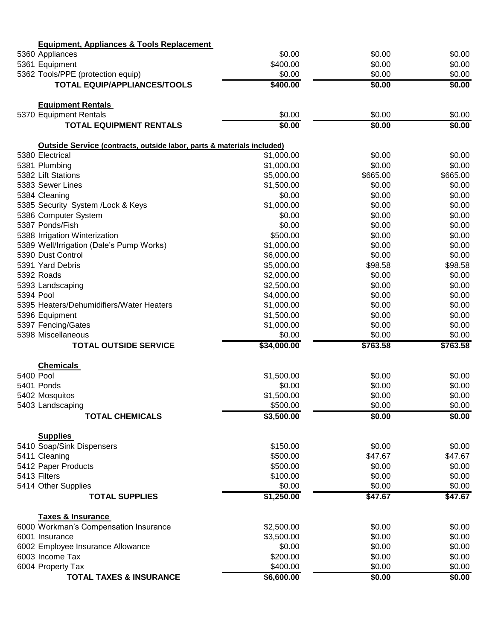| <b>Equipment, Appliances &amp; Tools Replacement</b>                              |                          |                  |                  |
|-----------------------------------------------------------------------------------|--------------------------|------------------|------------------|
| 5360 Appliances                                                                   | \$0.00                   | \$0.00           | \$0.00           |
| 5361 Equipment                                                                    | \$400.00                 | \$0.00           | \$0.00           |
| 5362 Tools/PPE (protection equip)                                                 | \$0.00                   | \$0.00           | \$0.00           |
| <b>TOTAL EQUIP/APPLIANCES/TOOLS</b>                                               | \$400.00                 | \$0.00           | \$0.00           |
| <b>Equipment Rentals</b>                                                          |                          |                  |                  |
| 5370 Equipment Rentals                                                            | \$0.00                   | \$0.00           | \$0.00           |
| <b>TOTAL EQUIPMENT RENTALS</b>                                                    | \$0.00                   | \$0.00           | \$0.00           |
| <b>Outside Service (contracts, outside labor, parts &amp; materials included)</b> |                          |                  |                  |
| 5380 Electrical                                                                   | \$1,000.00               | \$0.00           | \$0.00           |
| 5381 Plumbing                                                                     | \$1,000.00               | \$0.00           | \$0.00           |
| 5382 Lift Stations                                                                | \$5,000.00               | \$665.00         | \$665.00         |
| 5383 Sewer Lines                                                                  | \$1,500.00               | \$0.00           | \$0.00           |
| 5384 Cleaning                                                                     | \$0.00                   | \$0.00           | \$0.00           |
| 5385 Security System /Lock & Keys                                                 | \$1,000.00               | \$0.00           | \$0.00           |
| 5386 Computer System                                                              | \$0.00                   | \$0.00           | \$0.00           |
| 5387 Ponds/Fish                                                                   | \$0.00                   | \$0.00           | \$0.00           |
| 5388 Irrigation Winterization                                                     | \$500.00                 | \$0.00           | \$0.00           |
| 5389 Well/Irrigation (Dale's Pump Works)                                          | \$1,000.00               | \$0.00           | \$0.00           |
| 5390 Dust Control                                                                 | \$6,000.00               | \$0.00           | \$0.00           |
| 5391 Yard Debris                                                                  | \$5,000.00               | \$98.58          | \$98.58          |
| 5392 Roads                                                                        | \$2,000.00               | \$0.00           | \$0.00           |
| 5393 Landscaping                                                                  | \$2,500.00               | \$0.00<br>\$0.00 | \$0.00           |
| 5394 Pool<br>5395 Heaters/Dehumidifiers/Water Heaters                             | \$4,000.00               | \$0.00           | \$0.00<br>\$0.00 |
|                                                                                   | \$1,000.00               | \$0.00           | \$0.00           |
| 5396 Equipment                                                                    | \$1,500.00<br>\$1,000.00 | \$0.00           | \$0.00           |
| 5397 Fencing/Gates<br>5398 Miscellaneous                                          | \$0.00                   | \$0.00           | \$0.00           |
| <b>TOTAL OUTSIDE SERVICE</b>                                                      | \$34,000.00              | \$763.58         | \$763.58         |
|                                                                                   |                          |                  |                  |
| <b>Chemicals</b><br>5400 Pool                                                     | \$1,500.00               | \$0.00           | \$0.00           |
| 5401 Ponds                                                                        | \$0.00                   | \$0.00           | \$0.00           |
| 5402 Mosquitos                                                                    | \$1,500.00               | \$0.00           | \$0.00           |
| 5403 Landscaping                                                                  | \$500.00                 | \$0.00           | \$0.00           |
| <b>TOTAL CHEMICALS</b>                                                            | \$3,500.00               | \$0.00           | \$0.00           |
|                                                                                   |                          |                  |                  |
| <b>Supplies</b><br>5410 Soap/Sink Dispensers                                      | \$150.00                 | \$0.00           | \$0.00           |
| 5411 Cleaning                                                                     | \$500.00                 | \$47.67          | \$47.67          |
| 5412 Paper Products                                                               | \$500.00                 | \$0.00           | \$0.00           |
| 5413 Filters                                                                      | \$100.00                 | \$0.00           | \$0.00           |
| 5414 Other Supplies                                                               | \$0.00                   | \$0.00           | \$0.00           |
| <b>TOTAL SUPPLIES</b>                                                             | \$1,250.00               | \$47.67          | \$47.67          |
|                                                                                   |                          |                  |                  |
| <b>Taxes &amp; Insurance</b>                                                      |                          |                  |                  |
| 6000 Workman's Compensation Insurance                                             | \$2,500.00               | \$0.00           | \$0.00           |
| 6001 Insurance                                                                    | \$3,500.00               | \$0.00           | \$0.00           |
| 6002 Employee Insurance Allowance                                                 | \$0.00                   | \$0.00           | \$0.00           |
| 6003 Income Tax                                                                   | \$200.00                 | \$0.00           | \$0.00           |
| 6004 Property Tax                                                                 | \$400.00                 | \$0.00           | \$0.00           |
| <b>TOTAL TAXES &amp; INSURANCE</b>                                                | \$6,600.00               | \$0.00           | \$0.00           |